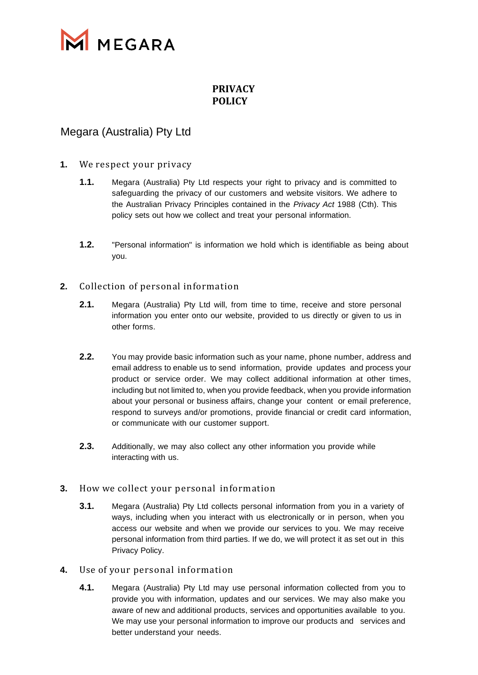

## **PRIVACY POLICY**

# Megara (Australia) Pty Ltd

#### **1.** We respect your privacy

- **1.1.** Megara (Australia) Pty Ltd respects your right to privacy and is committed to safeguarding the privacy of our customers and website visitors. We adhere to the Australian Privacy Principles contained in the *Privacy Act* 1988 (Cth). This policy sets out how we collect and treat your personal information.
- **1.2.** "Personal information" is information we hold which is identifiable as being about you.

## **2.** Collection of personal information

- **2.1.** Megara (Australia) Pty Ltd will, from time to time, receive and store personal information you enter onto our website, provided to us directly or given to us in other forms.
- **2.2.** You may provide basic information such as your name, phone number, address and email address to enable us to send information, provide updates and process your product or service order. We may collect additional information at other times, including but not limited to, when you provide feedback, when you provide information about your personal or business affairs, change your content or email preference, respond to surveys and/or promotions, provide financial or credit card information, or communicate with our customer support.
- **2.3.** Additionally, we may also collect any other information you provide while interacting with us.

#### **3.** How we collect your personal information

- **3.1.** Megara (Australia) Pty Ltd collects personal information from you in a variety of ways, including when you interact with us electronically or in person, when you access our website and when we provide our services to you. We may receive personal information from third parties. If we do, we will protect it as set out in this Privacy Policy.
- **4.** Use of your personal information
	- **4.1.** Megara (Australia) Pty Ltd may use personal information collected from you to provide you with information, updates and our services. We may also make you aware of new and additional products, services and opportunities available to you. We may use your personal information to improve our products and services and better understand your needs.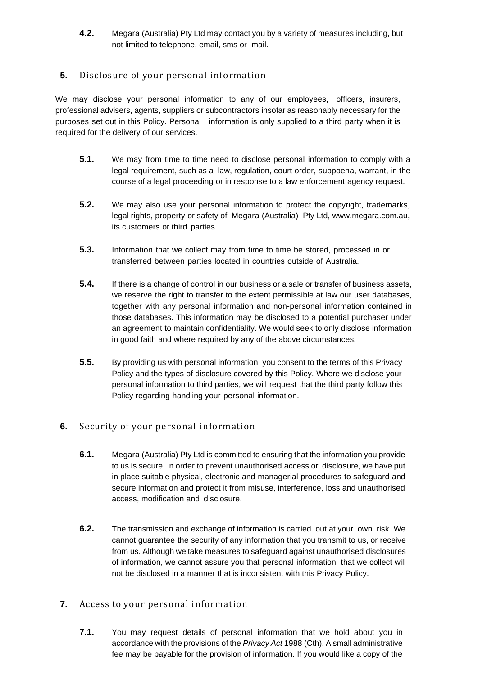**4.2.** Megara (Australia) Pty Ltd may contact you by a variety of measures including, but not limited to telephone, email, sms or mail.

## **5.** Disclosure of your personal information

We may disclose your personal information to any of our employees, officers, insurers, professional advisers, agents, suppliers or subcontractors insofar as reasonably necessary for the purposes set out in this Policy. Personal information is only supplied to a third party when it is required for the delivery of our services.

- **5.1.** We may from time to time need to disclose personal information to comply with a legal requirement, such as a law, regulation, court order, subpoena, warrant, in the course of a legal proceeding or in response to a law enforcement agency request.
- **5.2.** We may also use your personal information to protect the copyright, trademarks, legal rights, property or safety of Megara (Australia) Pty Ltd, [www.megara.com.au,](http://www.megara.com.au/)  its customers or third parties.
- **5.3.** Information that we collect may from time to time be stored, processed in or transferred between parties located in countries outside of Australia.
- **5.4.** If there is a change of control in our business or a sale or transfer of business assets, we reserve the right to transfer to the extent permissible at law our user databases, together with any personal information and non-personal information contained in those databases. This information may be disclosed to a potential purchaser under an agreement to maintain confidentiality. We would seek to only disclose information in good faith and where required by any of the above circumstances.
- **5.5.** By providing us with personal information, you consent to the terms of this Privacy Policy and the types of disclosure covered by this Policy. Where we disclose your personal information to third parties, we will request that the third party follow this Policy regarding handling your personal information.

## **6.** Security of your personal information

- **6.1.** Megara (Australia) Pty Ltd is committed to ensuring that the information you provide to us is secure. In order to prevent unauthorised access or disclosure, we have put in place suitable physical, electronic and managerial procedures to safeguard and secure information and protect it from misuse, interference, loss and unauthorised access, modification and disclosure.
- **6.2.** The transmission and exchange of information is carried out at your own risk. We cannot guarantee the security of any information that you transmit to us, or receive from us. Although we take measures to safeguard against unauthorised disclosures of information, we cannot assure you that personal information that we collect will not be disclosed in a manner that is inconsistent with this Privacy Policy.

## **7.** Access to your personal information

**7.1.** You may request details of personal information that we hold about you in accordance with the provisions of the *Privacy Act* 1988 (Cth). A small administrative fee may be payable for the provision of information. If you would like a copy of the